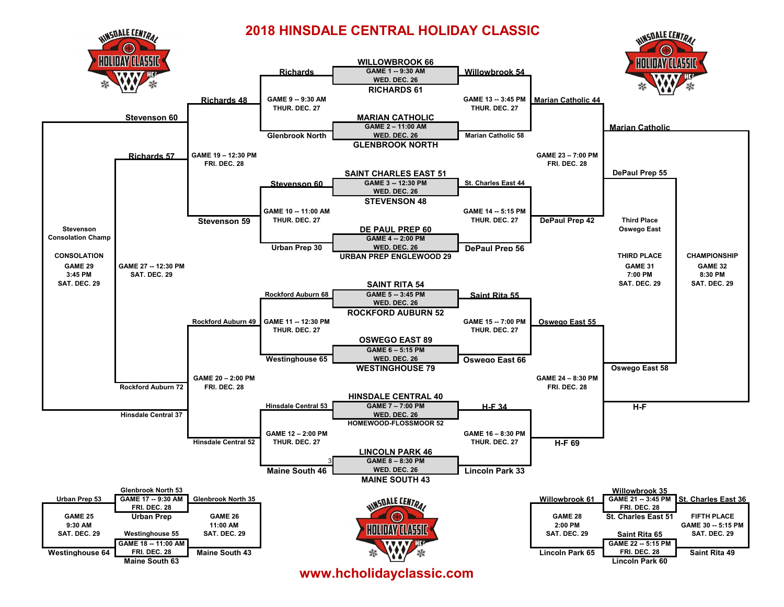